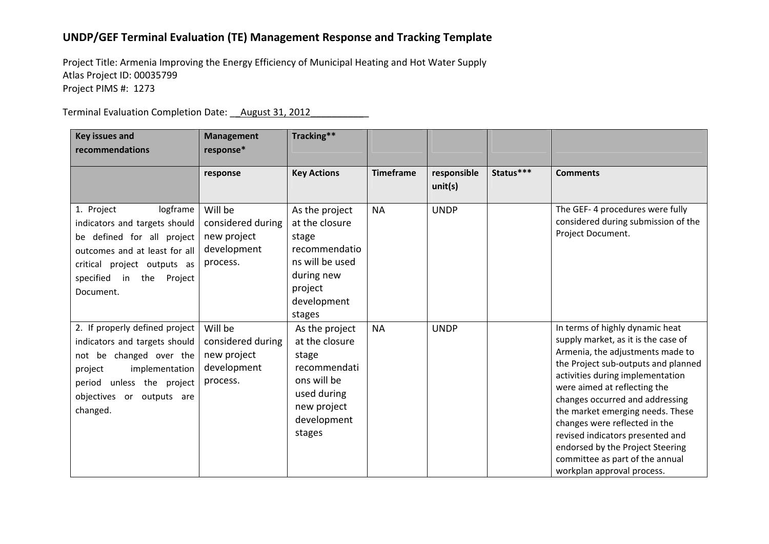## **UNDP/GEF Terminal Evaluation (TE) Management Response and Tracking Template**

Project Title: Armenia Improving the Energy Efficiency of Municipal Heating and Hot Water Supply Atlas Project ID: 00035799 Project PIMS #: 1273

Terminal Evaluation Completion Date: \_\_August 31, 2012\_\_\_\_\_\_\_\_\_\_\_

| <b>Key issues and</b>                                                                                                                                                                                   | <b>Management</b>                                                      | Tracking**                                                                                                                      |                  |                        |           |                                                                                                                                                                                                                                                                                                                                                                                                                                                                        |
|---------------------------------------------------------------------------------------------------------------------------------------------------------------------------------------------------------|------------------------------------------------------------------------|---------------------------------------------------------------------------------------------------------------------------------|------------------|------------------------|-----------|------------------------------------------------------------------------------------------------------------------------------------------------------------------------------------------------------------------------------------------------------------------------------------------------------------------------------------------------------------------------------------------------------------------------------------------------------------------------|
| recommendations                                                                                                                                                                                         | response*                                                              |                                                                                                                                 |                  |                        |           |                                                                                                                                                                                                                                                                                                                                                                                                                                                                        |
|                                                                                                                                                                                                         | response                                                               | <b>Key Actions</b>                                                                                                              | <b>Timeframe</b> | responsible<br>unit(s) | Status*** | <b>Comments</b>                                                                                                                                                                                                                                                                                                                                                                                                                                                        |
| 1. Project<br>logframe<br>indicators and targets should<br>be defined for all project<br>outcomes and at least for all<br>critical project outputs as<br>specified<br>the<br>Project<br>in<br>Document. | Will be<br>considered during<br>new project<br>development<br>process. | As the project<br>at the closure<br>stage<br>recommendatio<br>ns will be used<br>during new<br>project<br>development<br>stages | <b>NA</b>        | <b>UNDP</b>            |           | The GEF-4 procedures were fully<br>considered during submission of the<br>Project Document.                                                                                                                                                                                                                                                                                                                                                                            |
| 2. If properly defined project<br>indicators and targets should<br>be changed over the<br>not<br>implementation<br>project<br>unless the project<br>period<br>objectives or outputs are<br>changed.     | Will be<br>considered during<br>new project<br>development<br>process. | As the project<br>at the closure<br>stage<br>recommendati<br>ons will be<br>used during<br>new project<br>development<br>stages | <b>NA</b>        | <b>UNDP</b>            |           | In terms of highly dynamic heat<br>supply market, as it is the case of<br>Armenia, the adjustments made to<br>the Project sub-outputs and planned<br>activities during implementation<br>were aimed at reflecting the<br>changes occurred and addressing<br>the market emerging needs. These<br>changes were reflected in the<br>revised indicators presented and<br>endorsed by the Project Steering<br>committee as part of the annual<br>workplan approval process. |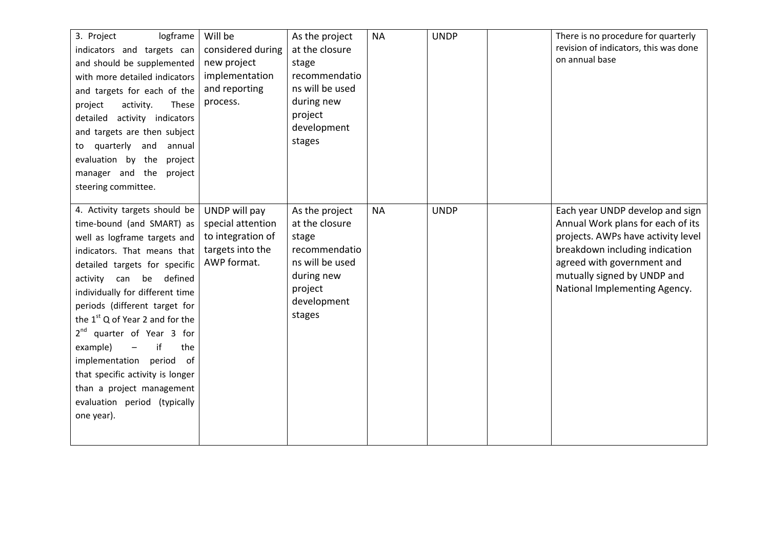| logframe<br>3. Project<br>indicators and targets can<br>and should be supplemented<br>with more detailed indicators<br>and targets for each of the<br>activity.<br>These<br>project<br>detailed activity indicators<br>and targets are then subject<br>to quarterly and<br>annual<br>evaluation by the<br>project<br>manager and the project                                                                                                                                                                                    | Will be<br>considered during<br>new project<br>implementation<br>and reporting<br>process. | As the project<br>at the closure<br>stage<br>recommendatio<br>ns will be used<br>during new<br>project<br>development<br>stages | <b>NA</b> | <b>UNDP</b> | There is no procedure for quarterly<br>revision of indicators, this was done<br>on annual base                                                                                                                                             |
|---------------------------------------------------------------------------------------------------------------------------------------------------------------------------------------------------------------------------------------------------------------------------------------------------------------------------------------------------------------------------------------------------------------------------------------------------------------------------------------------------------------------------------|--------------------------------------------------------------------------------------------|---------------------------------------------------------------------------------------------------------------------------------|-----------|-------------|--------------------------------------------------------------------------------------------------------------------------------------------------------------------------------------------------------------------------------------------|
| steering committee.<br>4. Activity targets should be<br>time-bound (and SMART) as<br>well as logframe targets and<br>indicators. That means that<br>detailed targets for specific<br>activity can be defined<br>individually for different time<br>periods (different target for<br>the $1st$ Q of Year 2 and for the<br>$2nd$ quarter of Year 3 for<br>example)<br>if<br>$-$<br>the<br>implementation period of<br>that specific activity is longer<br>than a project management<br>evaluation period (typically<br>one year). | UNDP will pay<br>special attention<br>to integration of<br>targets into the<br>AWP format. | As the project<br>at the closure<br>stage<br>recommendatio<br>ns will be used<br>during new<br>project<br>development<br>stages | <b>NA</b> | <b>UNDP</b> | Each year UNDP develop and sign<br>Annual Work plans for each of its<br>projects. AWPs have activity level<br>breakdown including indication<br>agreed with government and<br>mutually signed by UNDP and<br>National Implementing Agency. |